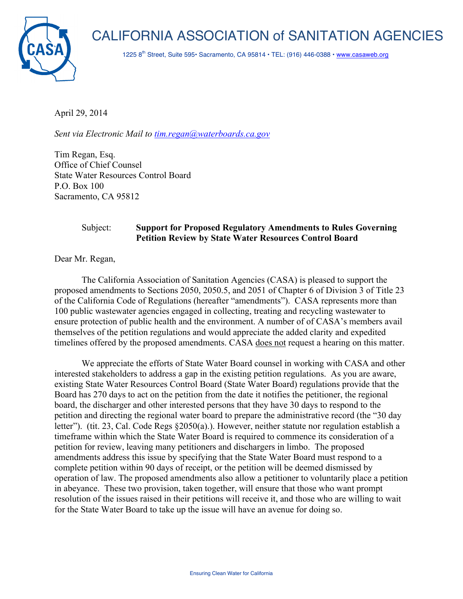



1225 8<sup>th</sup> Street, Suite 595• Sacramento, CA 95814 • TEL: (916) 446-0388 • www.casaweb.org

April 29, 2014

*Sent via Electronic Mail to tim.regan@waterboards.ca.gov*

Tim Regan, Esq. Office of Chief Counsel State Water Resources Control Board P.O. Box 100 Sacramento, CA 95812

## Subject: **Support for Proposed Regulatory Amendments to Rules Governing Petition Review by State Water Resources Control Board**

Dear Mr. Regan,

The California Association of Sanitation Agencies (CASA) is pleased to support the proposed amendments to Sections 2050, 2050.5, and 2051 of Chapter 6 of Division 3 of Title 23 of the California Code of Regulations (hereafter "amendments"). CASA represents more than 100 public wastewater agencies engaged in collecting, treating and recycling wastewater to ensure protection of public health and the environment. A number of of CASA's members avail themselves of the petition regulations and would appreciate the added clarity and expedited timelines offered by the proposed amendments. CASA does not request a hearing on this matter.

We appreciate the efforts of State Water Board counsel in working with CASA and other interested stakeholders to address a gap in the existing petition regulations. As you are aware, existing State Water Resources Control Board (State Water Board) regulations provide that the Board has 270 days to act on the petition from the date it notifies the petitioner, the regional board, the discharger and other interested persons that they have 30 days to respond to the petition and directing the regional water board to prepare the administrative record (the "30 day letter"). (tit. 23, Cal. Code Regs §2050(a).). However, neither statute nor regulation establish a timeframe within which the State Water Board is required to commence its consideration of a petition for review, leaving many petitioners and dischargers in limbo. The proposed amendments address this issue by specifying that the State Water Board must respond to a complete petition within 90 days of receipt, or the petition will be deemed dismissed by operation of law. The proposed amendments also allow a petitioner to voluntarily place a petition in abeyance. These two provision, taken together, will ensure that those who want prompt resolution of the issues raised in their petitions will receive it, and those who are willing to wait for the State Water Board to take up the issue will have an avenue for doing so.